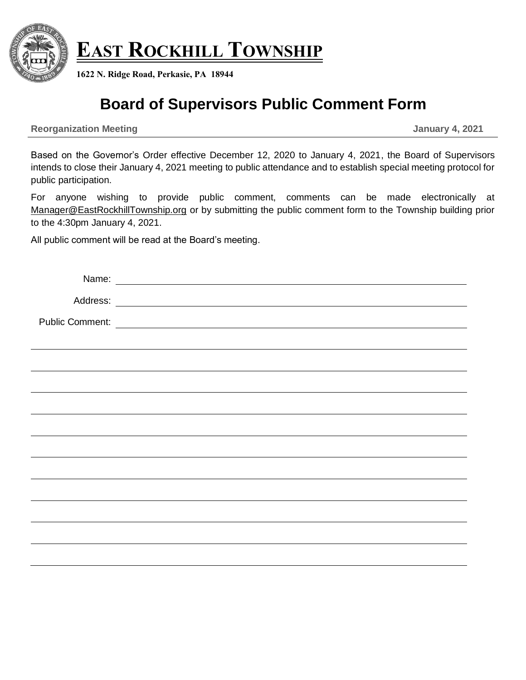

**EAST ROCKHILL TOWNSHIP**

**1622 N. Ridge Road, Perkasie, PA 18944**

# **Board of Supervisors Public Comment Form**

**Reorganization Meeting January 4, 2021**

Based on the Governor's Order effective December 12, 2020 to January 4, 2021, the Board of Supervisors intends to close their January 4, 2021 meeting to public attendance and to establish special meeting protocol for public participation.

For anyone wishing to provide public comment, comments can be made electronically at Manager@EastRockhillTownship.org or by submitting the public comment form to the Township building prior to the 4:30pm January 4, 2021.

All public comment will be read at the Board's meeting.

| Name: Name: Name and Name and Name and Name and Name and Name and Name and Name and Name and Name and Name and Name and Name and Name and Name and Name and Name and Name and Name and Name and Name and Name and Name and Nam |  |
|--------------------------------------------------------------------------------------------------------------------------------------------------------------------------------------------------------------------------------|--|
|                                                                                                                                                                                                                                |  |
|                                                                                                                                                                                                                                |  |
|                                                                                                                                                                                                                                |  |
|                                                                                                                                                                                                                                |  |
|                                                                                                                                                                                                                                |  |
|                                                                                                                                                                                                                                |  |
|                                                                                                                                                                                                                                |  |
|                                                                                                                                                                                                                                |  |
|                                                                                                                                                                                                                                |  |
|                                                                                                                                                                                                                                |  |
|                                                                                                                                                                                                                                |  |
|                                                                                                                                                                                                                                |  |
|                                                                                                                                                                                                                                |  |
|                                                                                                                                                                                                                                |  |
|                                                                                                                                                                                                                                |  |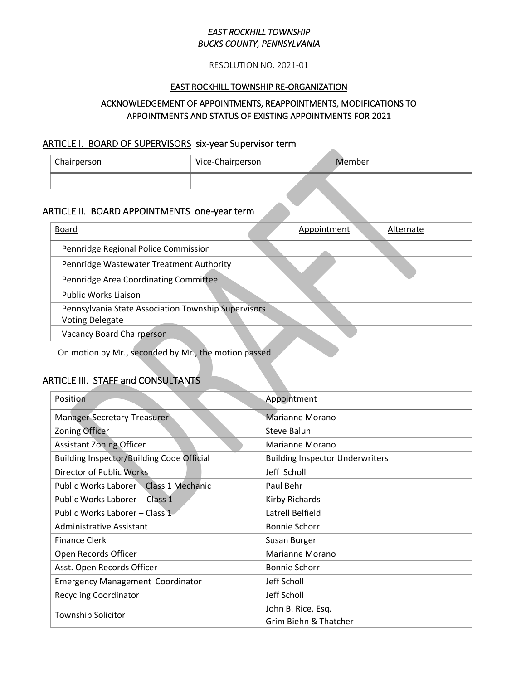#### RESOLUTION NO. 2021-01

#### EAST ROCKHILL TOWNSHIP RE-ORGANIZATION

# ACKNOWLEDGEMENT OF APPOINTMENTS, REAPPOINTMENTS, MODIFICATIONS TO APPOINTMENTS AND STATUS OF EXISTING APPOINTMENTS FOR 2021

### ARTICLE I. BOARD OF SUPERVISORS six-year Supervisor term

| Chairperson | Vice-Chairperson | Member |
|-------------|------------------|--------|
|             |                  |        |

# ARTICLE II. BOARD APPOINTMENTS one-year term

| Board                                                                         | Appointment | Alternate |
|-------------------------------------------------------------------------------|-------------|-----------|
| Pennridge Regional Police Commission                                          |             |           |
| Pennridge Wastewater Treatment Authority                                      |             |           |
| Pennridge Area Coordinating Committee                                         |             |           |
| Public Works Liaison                                                          |             |           |
| Pennsylvania State Association Township Supervisors<br><b>Voting Delegate</b> |             |           |
| <b>Vacancy Board Chairperson</b>                                              |             |           |

On motion by Mr., seconded by Mr., the motion passed

# ARTICLE III. STAFF and CONSULTANTS

| Position                                  | Appointment                            |  |
|-------------------------------------------|----------------------------------------|--|
| Manager-Secretary-Treasurer               | <b>Marianne Morano</b>                 |  |
| <b>Zoning Officer</b>                     | Steve Baluh                            |  |
| <b>Assistant Zoning Officer</b>           | Marianne Morano                        |  |
| Building Inspector/Building Code Official | <b>Building Inspector Underwriters</b> |  |
| Director of Public Works                  | Jeff Scholl                            |  |
| Public Works Laborer - Class 1 Mechanic   | Paul Behr                              |  |
| Public Works Laborer -- Class 1           | Kirby Richards                         |  |
| Public Works Laborer - Class 1            | Latrell Belfield                       |  |
| Administrative Assistant                  | <b>Bonnie Schorr</b>                   |  |
| <b>Finance Clerk</b>                      | Susan Burger                           |  |
| Open Records Officer                      | Marianne Morano                        |  |
| Asst. Open Records Officer                | <b>Bonnie Schorr</b>                   |  |
| <b>Emergency Management Coordinator</b>   | Jeff Scholl                            |  |
| <b>Recycling Coordinator</b>              | Jeff Scholl                            |  |
| <b>Township Solicitor</b>                 | John B. Rice, Esq.                     |  |
|                                           | Grim Biehn & Thatcher                  |  |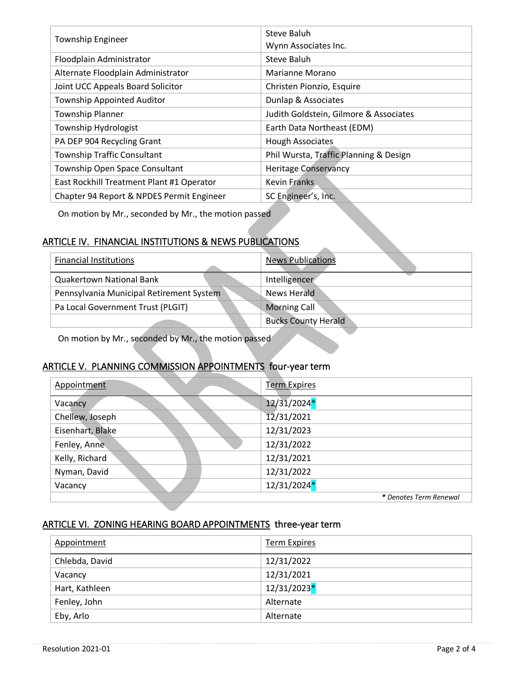| <b>Township Engineer</b>                  | Steve Baluh<br>Wynn Associates Inc.    |
|-------------------------------------------|----------------------------------------|
| Floodplain Administrator                  | Steve Baluh                            |
| Alternate Floodplain Administrator        | Marianne Morano                        |
| Joint UCC Appeals Board Solicitor         | Christen Pionzio, Esquire              |
| <b>Township Appointed Auditor</b>         | Dunlap & Associates                    |
| <b>Township Planner</b>                   | Judith Goldstein, Gilmore & Associates |
| Township Hydrologist                      | Earth Data Northeast (EDM)             |
| PA DEP 904 Recycling Grant                | <b>Hough Associates</b>                |
| <b>Township Traffic Consultant</b>        | Phil Wursta, Traffic Planning & Design |
| Township Open Space Consultant            | <b>Heritage Conservancy</b>            |
| East Rockhill Treatment Plant #1 Operator | Kevin Franks                           |
| Chapter 94 Report & NPDES Permit Engineer | SC Engineer's, Inc.                    |

On motion by Mr., seconded by Mr., the motion passed

# ARTICLE IV. FINANCIAL INSTITUTIONS & NEWS PUBLICATIONS

| <b>Financial Institutions</b>            | <b>News Publications</b>   |
|------------------------------------------|----------------------------|
| <b>Quakertown National Bank</b>          | Intelligencer              |
| Pennsylvania Municipal Retirement System | News Herald                |
| Pa Local Government Trust (PLGIT)        | <b>Morning Call</b>        |
|                                          | <b>Bucks County Herald</b> |

On motion by Mr., seconded by Mr., the motion passed

# ARTICLE V. PLANNING COMMISSION APPOINTMENTS four-year term

| Appointment      | <b>Term Expires</b>    |
|------------------|------------------------|
| Vacancy          | $12/31/2024*$          |
| Chellew, Joseph  | 12/31/2021             |
| Eisenhart, Blake | 12/31/2023             |
| Fenley, Anne     | 12/31/2022             |
| Kelly, Richard   | 12/31/2021             |
| Nyman, David     | 12/31/2022             |
| Vacancy          | 12/31/2024*            |
|                  | * Denotes Term Renewal |

# ARTICLE VI. ZONING HEARING BOARD APPOINTMENTS three-year term

| Appointment    | <b>Term Expires</b> |
|----------------|---------------------|
| Chlebda, David | 12/31/2022          |
| Vacancy        | 12/31/2021          |
| Hart, Kathleen | $12/31/2023*$       |
| Fenley, John   | Alternate           |
| Eby, Arlo      | Alternate           |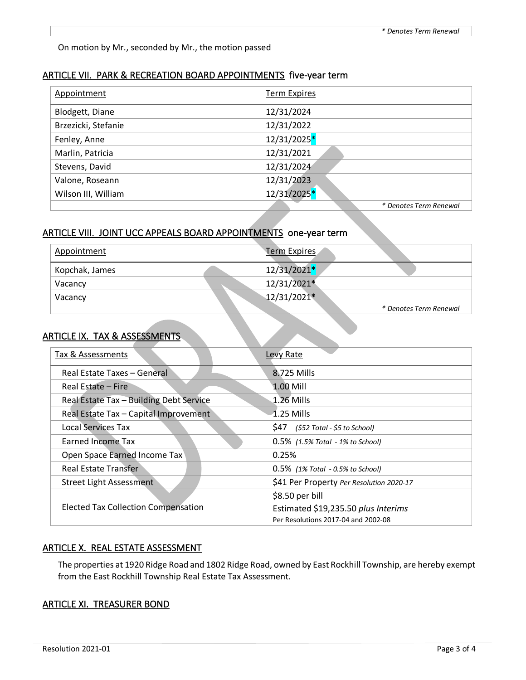On motion by Mr., seconded by Mr., the motion passed

#### ARTICLE VII. PARK & RECREATION BOARD APPOINTMENTS five-year term

| Appointment         | <b>Term Expires</b>    |
|---------------------|------------------------|
| Blodgett, Diane     | 12/31/2024             |
| Brzezicki, Stefanie | 12/31/2022             |
| Fenley, Anne        | 12/31/2025*            |
| Marlin, Patricia    | 12/31/2021             |
| Stevens, David      | 12/31/2024             |
| Valone, Roseann     | 12/31/2023             |
| Wilson III, William | $12/31/2025*$          |
|                     | * Denotes Term Renewal |

# ARTICLE VIII. JOINT UCC APPEALS BOARD APPOINTMENTS one-year term

| Appointment    | Term Expires  |                        |
|----------------|---------------|------------------------|
| Kopchak, James | $12/31/2021*$ |                        |
| Vacancy        | 12/31/2021*   |                        |
| Vacancy        | $12/31/2021*$ |                        |
|                |               | * Denotes Term Renewal |

#### ARTICLE IX. TAX & ASSESSMENTS

| Tax & Assessments                          | Levy Rate                                |
|--------------------------------------------|------------------------------------------|
| Real Estate Taxes - General                | 8.725 Mills                              |
| Real Estate – Fire                         | $1.00$ Mill                              |
| Real Estate Tax - Building Debt Service    | $1.26$ Mills                             |
| Real Estate Tax - Capital Improvement      | $-1.25$ Mills                            |
| <b>Local Services Tax</b>                  | S47<br>(\$52 Total - \$5 to School)      |
| Earned Income Tax                          | $0.5\%$ (1.5% Total - 1% to School)      |
| Open Space Earned Income Tax               | 0.25%                                    |
| <b>Real Estate Transfer</b>                | $0.5\%$ (1% Total - 0.5% to School)      |
| Street Light Assessment                    | \$41 Per Property Per Resolution 2020-17 |
|                                            | \$8.50 per bill                          |
| <b>Elected Tax Collection Compensation</b> | Estimated \$19,235.50 plus Interims      |
|                                            | Per Resolutions 2017-04 and 2002-08      |

#### ARTICLE X. REAL ESTATE ASSESSMENT

The properties at 1920 Ridge Road and 1802 Ridge Road, owned by East Rockhill Township, are hereby exempt from the East Rockhill Township Real Estate Tax Assessment.

#### ARTICLE XI. TREASURER BOND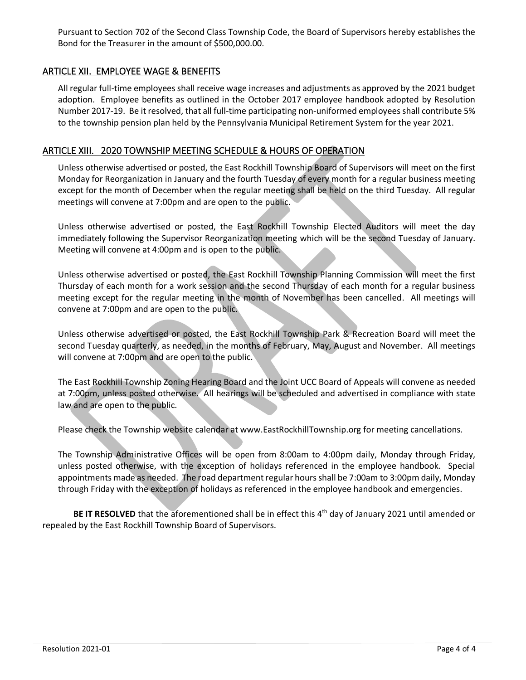Pursuant to Section 702 of the Second Class Township Code, the Board of Supervisors hereby establishes the Bond for the Treasurer in the amount of \$500,000.00.

#### ARTICLE XII. EMPLOYEE WAGE & BENEFITS

All regular full-time employees shall receive wage increases and adjustments as approved by the 2021 budget adoption. Employee benefits as outlined in the October 2017 employee handbook adopted by Resolution Number 2017-19. Be it resolved, that all full-time participating non-uniformed employees shall contribute 5% to the township pension plan held by the Pennsylvania Municipal Retirement System for the year 2021.

#### ARTICLE XIII. 2020 TOWNSHIP MEETING SCHEDULE & HOURS OF OPERATION

Unless otherwise advertised or posted, the East Rockhill Township Board of Supervisors will meet on the first Monday for Reorganization in January and the fourth Tuesday of every month for a regular business meeting except for the month of December when the regular meeting shall be held on the third Tuesday. All regular meetings will convene at 7:00pm and are open to the public.

Unless otherwise advertised or posted, the East Rockhill Township Elected Auditors will meet the day immediately following the Supervisor Reorganization meeting which will be the second Tuesday of January. Meeting will convene at 4:00pm and is open to the public.

Unless otherwise advertised or posted, the East Rockhill Township Planning Commission will meet the first Thursday of each month for a work session and the second Thursday of each month for a regular business meeting except for the regular meeting in the month of November has been cancelled. All meetings will convene at 7:00pm and are open to the public.

Unless otherwise advertised or posted, the East Rockhill Township Park & Recreation Board will meet the second Tuesday quarterly, as needed, in the months of February, May, August and November. All meetings will convene at 7:00pm and are open to the public.

The East Rockhill Township Zoning Hearing Board and the Joint UCC Board of Appeals will convene as needed at 7:00pm, unless posted otherwise. All hearings will be scheduled and advertised in compliance with state law and are open to the public.

Please check the Township website calendar at www[.EastRockhillTownship.org](http://www.eastrockhilltownship.org/) for meeting cancellations.

The Township Administrative Offices will be open from 8:00am to 4:00pm daily, Monday through Friday, unless posted otherwise, with the exception of holidays referenced in the employee handbook. Special appointments made as needed. The road department regular hours shall be 7:00am to 3:00pm daily, Monday through Friday with the exception of holidays as referenced in the employee handbook and emergencies.

BE IT RESOLVED that the aforementioned shall be in effect this 4<sup>th</sup> day of January 2021 until amended or repealed by the East Rockhill Township Board of Supervisors.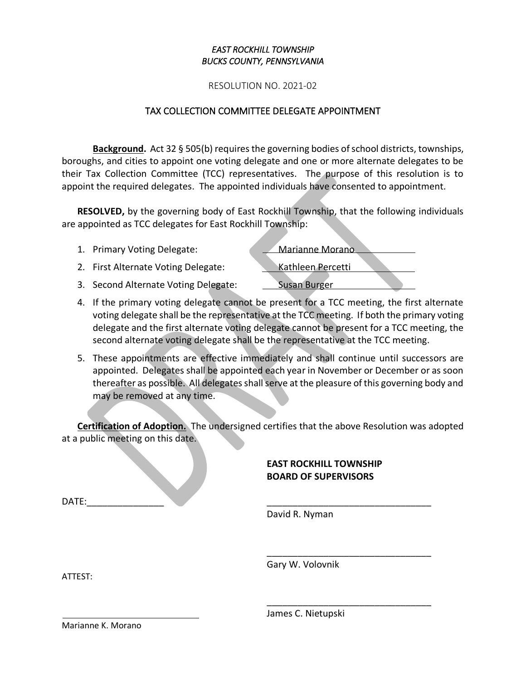RESOLUTION NO. 2021-02

### TAX COLLECTION COMMITTEE DELEGATE APPOINTMENT

**Background.** Act 32 § 505(b) requires the governing bodies of school districts, townships, boroughs, and cities to appoint one voting delegate and one or more alternate delegates to be their Tax Collection Committee (TCC) representatives. The purpose of this resolution is to appoint the required delegates. The appointed individuals have consented to appointment.

**RESOLVED,** by the governing body of East Rockhill Township, that the following individuals are appointed as TCC delegates for East Rockhill Township:

- 1. Primary Voting Delegate: Marianne Morano
- 2. First Alternate Voting Delegate: Kathleen Percetti
- 3. Second Alternate Voting Delegate: Susan Burger

- 4. If the primary voting delegate cannot be present for a TCC meeting, the first alternate voting delegate shall be the representative at the TCC meeting. If both the primary voting delegate and the first alternate voting delegate cannot be present for a TCC meeting, the second alternate voting delegate shall be the representative at the TCC meeting.
- 5. These appointments are effective immediately and shall continue until successors are appointed. Delegates shall be appointed each year in November or December or as soon thereafter as possible. All delegates shall serve at the pleasure of this governing body and may be removed at any time.

**Certification of Adoption.** The undersigned certifies that the above Resolution was adopted at a public meeting on this date.

### **EAST ROCKHILL TOWNSHIP BOARD OF SUPERVISORS**

\_\_\_\_\_\_\_\_\_\_\_\_\_\_\_\_\_\_\_\_\_\_\_\_\_\_\_\_\_\_\_\_

\_\_\_\_\_\_\_\_\_\_\_\_\_\_\_\_\_\_\_\_\_\_\_\_\_\_\_\_\_\_\_\_

DATE:\_\_\_\_\_\_\_\_\_\_\_\_\_\_\_ \_\_\_\_\_\_\_\_\_\_\_\_\_\_\_\_\_\_\_\_\_\_\_\_\_\_\_\_\_\_\_\_

David R. Nyman

Gary W. Volovnik

ATTEST:

James C. Nietupski

Marianne K. Morano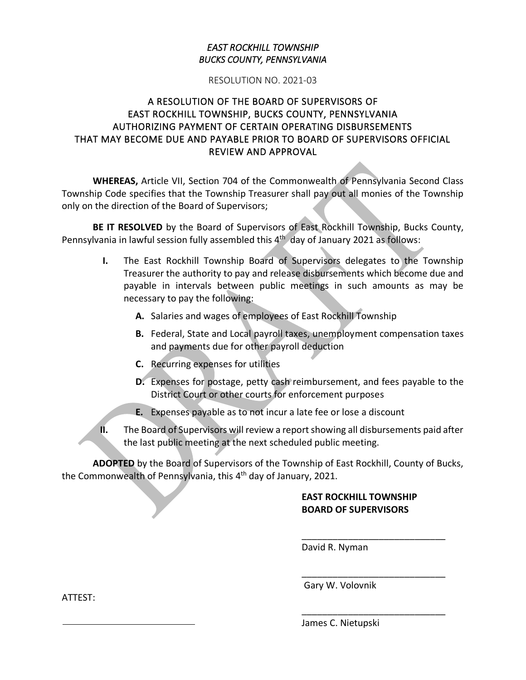#### RESOLUTION NO. 2021-03

# A RESOLUTION OF THE BOARD OF SUPERVISORS OF EAST ROCKHILL TOWNSHIP, BUCKS COUNTY, PENNSYLVANIA AUTHORIZING PAYMENT OF CERTAIN OPERATING DISBURSEMENTS THAT MAY BECOME DUE AND PAYABLE PRIOR TO BOARD OF SUPERVISORS OFFICIAL REVIEW AND APPROVAL

**WHEREAS,** Article VII, Section 704 of the Commonwealth of Pennsylvania Second Class Township Code specifies that the Township Treasurer shall pay out all monies of the Township only on the direction of the Board of Supervisors;

**BE IT RESOLVED** by the Board of Supervisors of East Rockhill Township, Bucks County, Pennsylvania in lawful session fully assembled this 4<sup>th</sup> day of January 2021 as follows:

- **I.** The East Rockhill Township Board of Supervisors delegates to the Township Treasurer the authority to pay and release disbursements which become due and payable in intervals between public meetings in such amounts as may be necessary to pay the following:
	- **A.** Salaries and wages of employees of East Rockhill Township
	- **B.** Federal, State and Local payroll taxes, unemployment compensation taxes and payments due for other payroll deduction
	- **C.** Recurring expenses for utilities
	- **D.** Expenses for postage, petty cash reimbursement, and fees payable to the District Court or other courts for enforcement purposes
	- **E.** Expenses payable as to not incur a late fee or lose a discount
- **II.** The Board of Supervisors will review a report showing all disbursements paid after the last public meeting at the next scheduled public meeting.

**ADOPTED** by the Board of Supervisors of the Township of East Rockhill, County of Bucks, the Commonwealth of Pennsylvania, this 4<sup>th</sup> day of January, 2021.

# **EAST ROCKHILL TOWNSHIP BOARD OF SUPERVISORS**

\_\_\_\_\_\_\_\_\_\_\_\_\_\_\_\_\_\_\_\_\_\_\_\_\_\_\_\_

\_\_\_\_\_\_\_\_\_\_\_\_\_\_\_\_\_\_\_\_\_\_\_\_\_\_\_\_

\_\_\_\_\_\_\_\_\_\_\_\_\_\_\_\_\_\_\_\_\_\_\_\_\_\_\_\_

David R. Nyman

Gary W. Volovnik

ATTEST:

James C. Nietupski